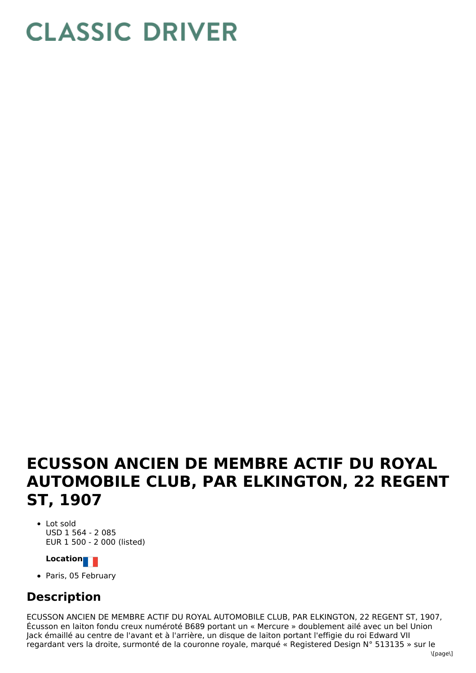## **CLASSIC DRIVER**

## **ECUSSON ANCIEN DE MEMBRE ACTIF DU ROYAL AUTOMOBILE CLUB, PAR ELKINGTON, 22 REGENT ST, 1907**

Lot sold USD 1 564 - 2 085 EUR 1 500 - 2 000 (listed)

## **Location**

• Paris, 05 February

## **Description**

ECUSSON ANCIEN DE MEMBRE ACTIF DU ROYAL AUTOMOBILE CLUB, PAR ELKINGTON, 22 REGENT ST, 1907, Écusson en laiton fondu creux numéroté B689 portant un « Mercure » doublement ailé avec un bel Union Jack émaillé au centre de l'avant et à l'arrière, un disque de laiton portant l'effigie du roi Edward VII regardant vers la droite, surmonté de la couronne royale, marqué « Registered Design N° 513135 » sur le